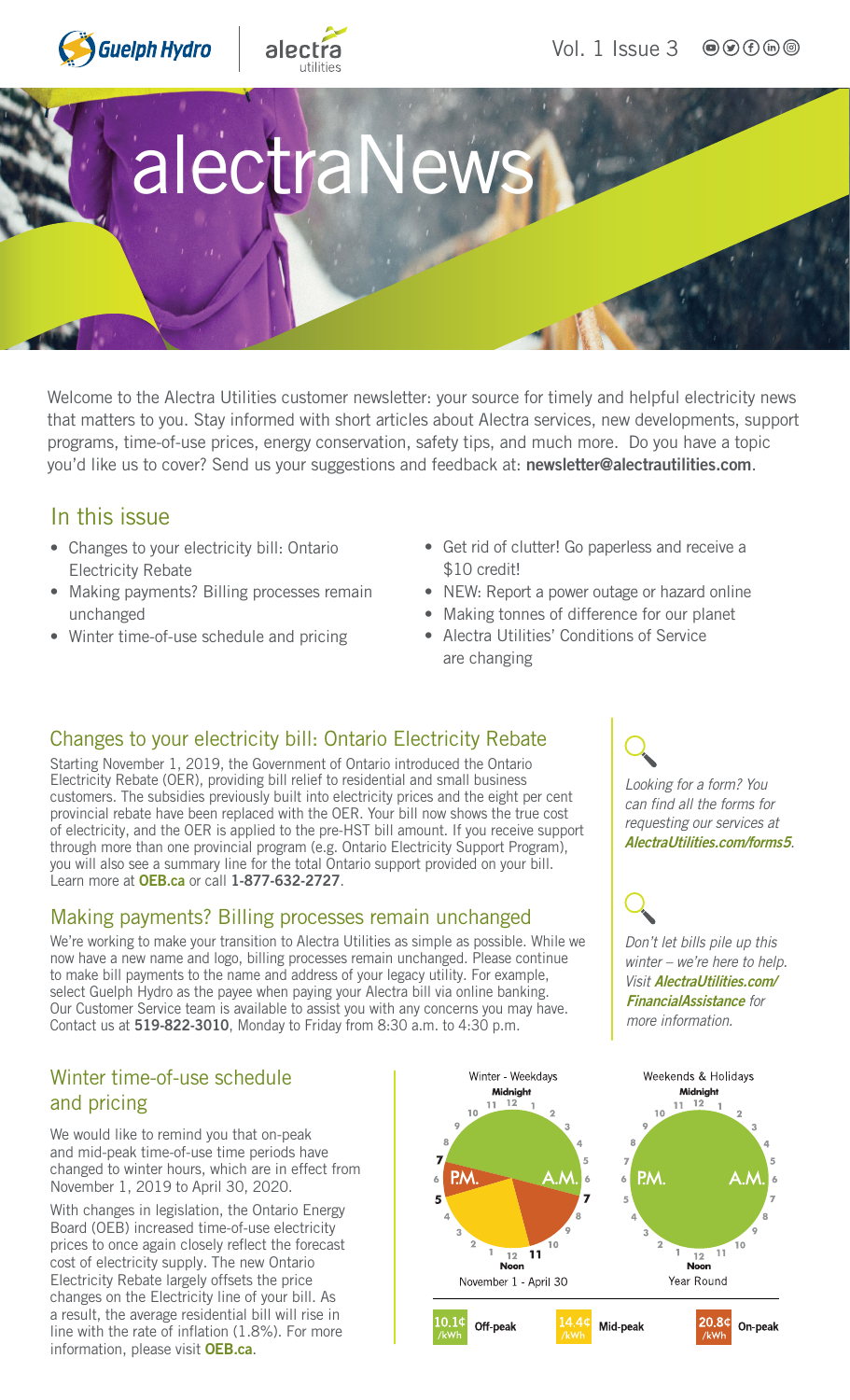



Vol. 1 Issue 3  $\bigcirc$   $\bigcirc$   $\bigcirc$   $\bigcirc$   $\bigcirc$ 

# alectraNew

Welcome to the Alectra Utilities customer newsletter: your source for timely and helpful electricity news that matters to you. Stay informed with short articles about Alectra services, new developments, support programs, time-of-use prices, energy conservation, safety tips, and much more. Do you have a topic you'd like us to cover? Send us your suggestions and feedback at: [newsletter@alectrautilities.com](mailto:newsletter@alectrautilities.com).

### In this issue

- Changes to your electricity bill: Ontario Electricity Rebate
- Making payments? Billing processes remain unchanged
- Winter time-of-use schedule and pricing
- Get rid of clutter! Go paperless and receive a \$10 credit!
- NEW: Report a power outage or hazard online
- Making tonnes of difference for our planet
- Alectra Utilities' Conditions of Service are changing

#### Changes to your electricity bill: Ontario Electricity Rebate

Starting November 1, 2019, the Government of Ontario introduced the Ontario Electricity Rebate (OER), providing bill relief to residential and small business customers. The subsidies previously built into electricity prices and the eight per cent provincial rebate have been replaced with the OER. Your bill now shows the true cost of electricity, and the OER is applied to the pre-HST bill amount. If you receive support through more than one provincial program (e.g. Ontario Electricity Support Program), you will also see a summary line for the total Ontario support provided on your bill. Learn more at [OEB.ca](http://OEB.ca) or call 1-877-632-2727.

#### Making payments? Billing processes remain unchanged

We're working to make your transition to Alectra Utilities as simple as possible. While we now have a new name and logo, billing processes remain unchanged. Please continue to make bill payments to the name and address of your legacy utility. For example, select Guelph Hydro as the payee when paying your Alectra bill via online banking. Our Customer Service team is available to assist you with any concerns you may have. Contact us at 519-822-3010, Monday to Friday from 8:30 a.m. to 4:30 p.m.

#### Winter time-of-use schedule and pricing

We would like to remind you that on-peak and mid-peak time-of-use time periods have changed to winter hours, which are in effect from November 1, 2019 to April 30, 2020.

With changes in legislation, the Ontario Energy Board (OEB) increased time-of-use electricity prices to once again closely reflect the forecast cost of electricity supply. The new Ontario Electricity Rebate largely offsets the price changes on the Electricity line of your bill. As a result, the average residential bill will rise in line with the rate of inflation (1.8%). For more information, please visit **[OEB.ca](http://OEB.ca).** 



*Looking for a form? You can find all the forms for requesting our services at* [AlectraUtilities.com/forms5](http://AlectraUtilities.com/forms5)*.*

*Don't let bills pile up this winter – we're here to help. Visit* [AlectraUtilities.com/](http://AlectraUtilities.com/FinancialAssistance) [FinancialAssistance](http://AlectraUtilities.com/FinancialAssistance) *for more information.*